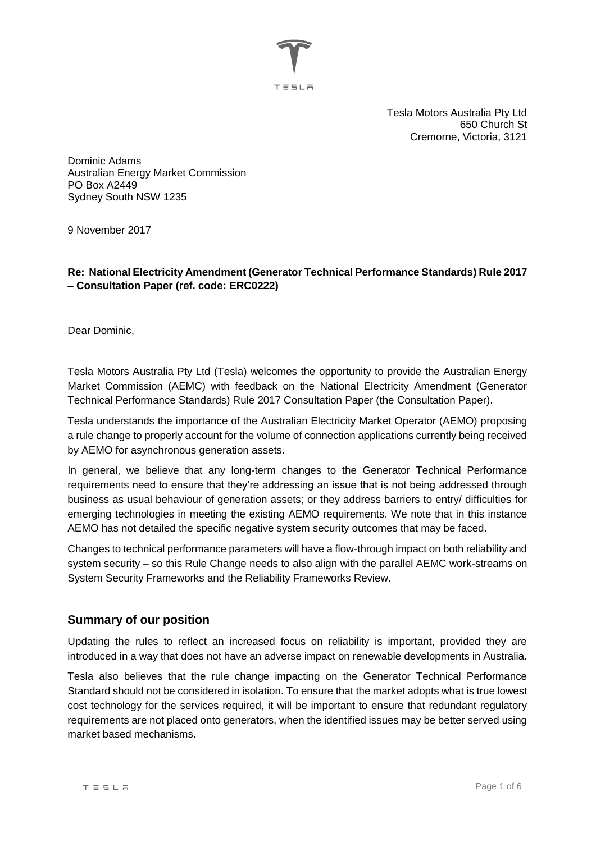

Tesla Motors Australia Pty Ltd 650 Church St Cremorne, Victoria, 3121

Dominic Adams Australian Energy Market Commission PO Box A2449 Sydney South NSW 1235

9 November 2017

**Re: National Electricity Amendment (Generator Technical Performance Standards) Rule 2017 – Consultation Paper (ref. code: ERC0222)**

Dear Dominic,

Tesla Motors Australia Pty Ltd (Tesla) welcomes the opportunity to provide the Australian Energy Market Commission (AEMC) with feedback on the National Electricity Amendment (Generator Technical Performance Standards) Rule 2017 Consultation Paper (the Consultation Paper).

Tesla understands the importance of the Australian Electricity Market Operator (AEMO) proposing a rule change to properly account for the volume of connection applications currently being received by AEMO for asynchronous generation assets.

In general, we believe that any long-term changes to the Generator Technical Performance requirements need to ensure that they're addressing an issue that is not being addressed through business as usual behaviour of generation assets; or they address barriers to entry/ difficulties for emerging technologies in meeting the existing AEMO requirements. We note that in this instance AEMO has not detailed the specific negative system security outcomes that may be faced.

Changes to technical performance parameters will have a flow-through impact on both reliability and system security – so this Rule Change needs to also align with the parallel AEMC work-streams on System Security Frameworks and the Reliability Frameworks Review.

## **Summary of our position**

Updating the rules to reflect an increased focus on reliability is important, provided they are introduced in a way that does not have an adverse impact on renewable developments in Australia.

Tesla also believes that the rule change impacting on the Generator Technical Performance Standard should not be considered in isolation. To ensure that the market adopts what is true lowest cost technology for the services required, it will be important to ensure that redundant regulatory requirements are not placed onto generators, when the identified issues may be better served using market based mechanisms.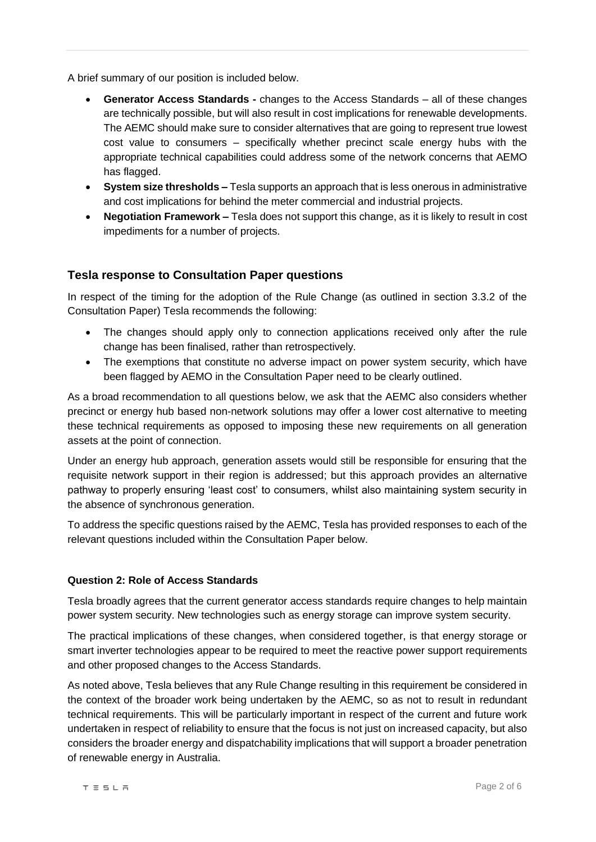A brief summary of our position is included below.

- **Generator Access Standards -** changes to the Access Standards all of these changes are technically possible, but will also result in cost implications for renewable developments. The AEMC should make sure to consider alternatives that are going to represent true lowest cost value to consumers – specifically whether precinct scale energy hubs with the appropriate technical capabilities could address some of the network concerns that AEMO has flagged.
- **System size thresholds –** Tesla supports an approach that is less onerous in administrative and cost implications for behind the meter commercial and industrial projects.
- **Negotiation Framework –** Tesla does not support this change, as it is likely to result in cost impediments for a number of projects.

# **Tesla response to Consultation Paper questions**

In respect of the timing for the adoption of the Rule Change (as outlined in section 3.3.2 of the Consultation Paper) Tesla recommends the following:

- The changes should apply only to connection applications received only after the rule change has been finalised, rather than retrospectively.
- The exemptions that constitute no adverse impact on power system security, which have been flagged by AEMO in the Consultation Paper need to be clearly outlined.

As a broad recommendation to all questions below, we ask that the AEMC also considers whether precinct or energy hub based non-network solutions may offer a lower cost alternative to meeting these technical requirements as opposed to imposing these new requirements on all generation assets at the point of connection.

Under an energy hub approach, generation assets would still be responsible for ensuring that the requisite network support in their region is addressed; but this approach provides an alternative pathway to properly ensuring 'least cost' to consumers, whilst also maintaining system security in the absence of synchronous generation.

To address the specific questions raised by the AEMC, Tesla has provided responses to each of the relevant questions included within the Consultation Paper below.

#### **Question 2: Role of Access Standards**

Tesla broadly agrees that the current generator access standards require changes to help maintain power system security. New technologies such as energy storage can improve system security.

The practical implications of these changes, when considered together, is that energy storage or smart inverter technologies appear to be required to meet the reactive power support requirements and other proposed changes to the Access Standards.

As noted above, Tesla believes that any Rule Change resulting in this requirement be considered in the context of the broader work being undertaken by the AEMC, so as not to result in redundant technical requirements. This will be particularly important in respect of the current and future work undertaken in respect of reliability to ensure that the focus is not just on increased capacity, but also considers the broader energy and dispatchability implications that will support a broader penetration of renewable energy in Australia.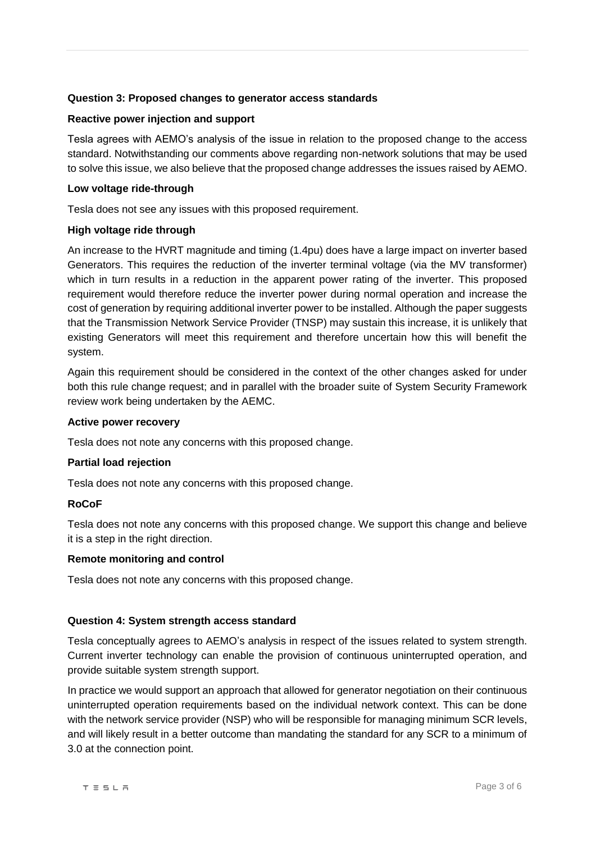## **Question 3: Proposed changes to generator access standards**

#### **Reactive power injection and support**

Tesla agrees with AEMO's analysis of the issue in relation to the proposed change to the access standard. Notwithstanding our comments above regarding non-network solutions that may be used to solve this issue, we also believe that the proposed change addresses the issues raised by AEMO.

#### **Low voltage ride-through**

Tesla does not see any issues with this proposed requirement.

#### **High voltage ride through**

An increase to the HVRT magnitude and timing (1.4pu) does have a large impact on inverter based Generators. This requires the reduction of the inverter terminal voltage (via the MV transformer) which in turn results in a reduction in the apparent power rating of the inverter. This proposed requirement would therefore reduce the inverter power during normal operation and increase the cost of generation by requiring additional inverter power to be installed. Although the paper suggests that the Transmission Network Service Provider (TNSP) may sustain this increase, it is unlikely that existing Generators will meet this requirement and therefore uncertain how this will benefit the system.

Again this requirement should be considered in the context of the other changes asked for under both this rule change request; and in parallel with the broader suite of System Security Framework review work being undertaken by the AEMC.

#### **Active power recovery**

Tesla does not note any concerns with this proposed change.

#### **Partial load rejection**

Tesla does not note any concerns with this proposed change.

#### **RoCoF**

Tesla does not note any concerns with this proposed change. We support this change and believe it is a step in the right direction.

#### **Remote monitoring and control**

Tesla does not note any concerns with this proposed change.

#### **Question 4: System strength access standard**

Tesla conceptually agrees to AEMO's analysis in respect of the issues related to system strength. Current inverter technology can enable the provision of continuous uninterrupted operation, and provide suitable system strength support.

In practice we would support an approach that allowed for generator negotiation on their continuous uninterrupted operation requirements based on the individual network context. This can be done with the network service provider (NSP) who will be responsible for managing minimum SCR levels, and will likely result in a better outcome than mandating the standard for any SCR to a minimum of 3.0 at the connection point.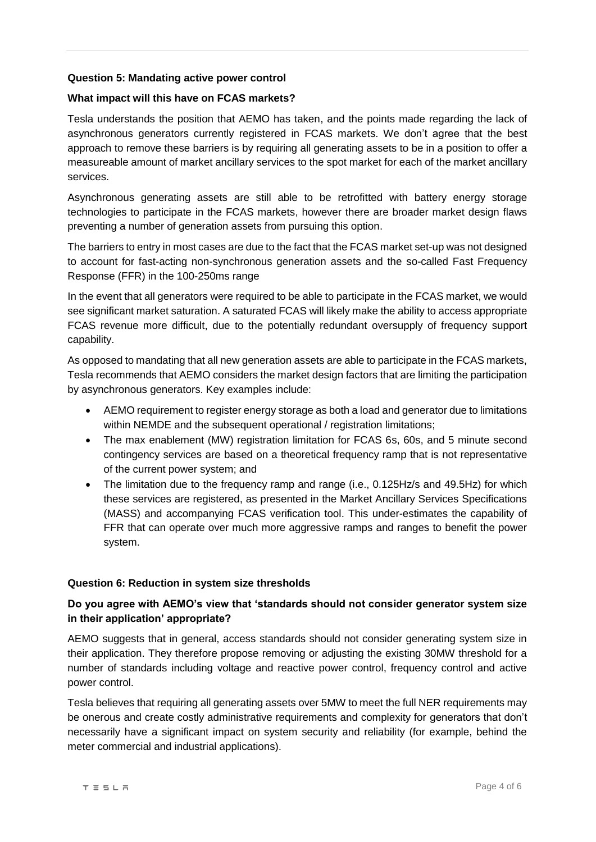#### **Question 5: Mandating active power control**

### **What impact will this have on FCAS markets?**

Tesla understands the position that AEMO has taken, and the points made regarding the lack of asynchronous generators currently registered in FCAS markets. We don't agree that the best approach to remove these barriers is by requiring all generating assets to be in a position to offer a measureable amount of market ancillary services to the spot market for each of the market ancillary services.

Asynchronous generating assets are still able to be retrofitted with battery energy storage technologies to participate in the FCAS markets, however there are broader market design flaws preventing a number of generation assets from pursuing this option.

The barriers to entry in most cases are due to the fact that the FCAS market set-up was not designed to account for fast-acting non-synchronous generation assets and the so-called Fast Frequency Response (FFR) in the 100-250ms range

In the event that all generators were required to be able to participate in the FCAS market, we would see significant market saturation. A saturated FCAS will likely make the ability to access appropriate FCAS revenue more difficult, due to the potentially redundant oversupply of frequency support capability.

As opposed to mandating that all new generation assets are able to participate in the FCAS markets, Tesla recommends that AEMO considers the market design factors that are limiting the participation by asynchronous generators. Key examples include:

- AEMO requirement to register energy storage as both a load and generator due to limitations within NEMDE and the subsequent operational / registration limitations;
- The max enablement (MW) registration limitation for FCAS 6s, 60s, and 5 minute second contingency services are based on a theoretical frequency ramp that is not representative of the current power system; and
- The limitation due to the frequency ramp and range (i.e., 0.125Hz/s and 49.5Hz) for which these services are registered, as presented in the Market Ancillary Services Specifications (MASS) and accompanying FCAS verification tool. This under-estimates the capability of FFR that can operate over much more aggressive ramps and ranges to benefit the power system.

#### **Question 6: Reduction in system size thresholds**

# **Do you agree with AEMO's view that 'standards should not consider generator system size in their application' appropriate?**

AEMO suggests that in general, access standards should not consider generating system size in their application. They therefore propose removing or adjusting the existing 30MW threshold for a number of standards including voltage and reactive power control, frequency control and active power control.

Tesla believes that requiring all generating assets over 5MW to meet the full NER requirements may be onerous and create costly administrative requirements and complexity for generators that don't necessarily have a significant impact on system security and reliability (for example, behind the meter commercial and industrial applications).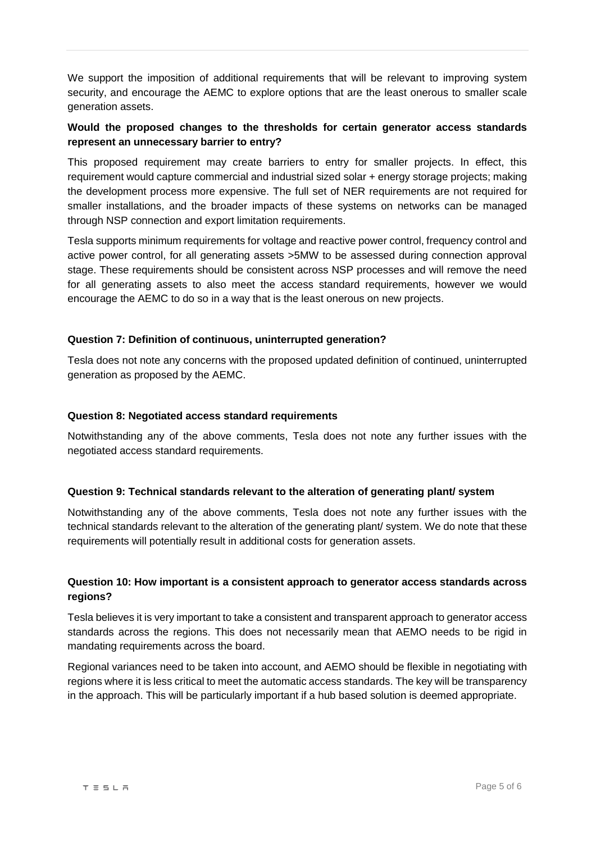We support the imposition of additional requirements that will be relevant to improving system security, and encourage the AEMC to explore options that are the least onerous to smaller scale generation assets.

## **Would the proposed changes to the thresholds for certain generator access standards represent an unnecessary barrier to entry?**

This proposed requirement may create barriers to entry for smaller projects. In effect, this requirement would capture commercial and industrial sized solar + energy storage projects; making the development process more expensive. The full set of NER requirements are not required for smaller installations, and the broader impacts of these systems on networks can be managed through NSP connection and export limitation requirements.

Tesla supports minimum requirements for voltage and reactive power control, frequency control and active power control, for all generating assets >5MW to be assessed during connection approval stage. These requirements should be consistent across NSP processes and will remove the need for all generating assets to also meet the access standard requirements, however we would encourage the AEMC to do so in a way that is the least onerous on new projects.

## **Question 7: Definition of continuous, uninterrupted generation?**

Tesla does not note any concerns with the proposed updated definition of continued, uninterrupted generation as proposed by the AEMC.

#### **Question 8: Negotiated access standard requirements**

Notwithstanding any of the above comments, Tesla does not note any further issues with the negotiated access standard requirements.

#### **Question 9: Technical standards relevant to the alteration of generating plant/ system**

Notwithstanding any of the above comments, Tesla does not note any further issues with the technical standards relevant to the alteration of the generating plant/ system. We do note that these requirements will potentially result in additional costs for generation assets.

# **Question 10: How important is a consistent approach to generator access standards across regions?**

Tesla believes it is very important to take a consistent and transparent approach to generator access standards across the regions. This does not necessarily mean that AEMO needs to be rigid in mandating requirements across the board.

Regional variances need to be taken into account, and AEMO should be flexible in negotiating with regions where it is less critical to meet the automatic access standards. The key will be transparency in the approach. This will be particularly important if a hub based solution is deemed appropriate.